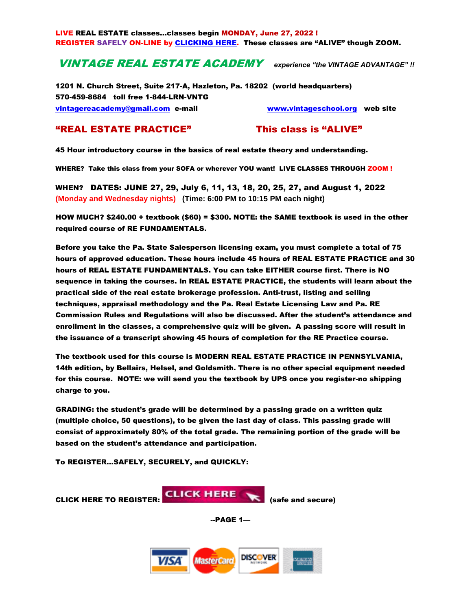LIVE REAL ESTATE classes…classes begin MONDAY, June 27, 2022 ! REGISTER SAFELY ON-LINE by [CLICKING HERE.](https://www.mcssl.com/store/vintagerealestateacademy/01-real-estate-fundamentals-live-virtual-class-through-zoom-monday-and-wednesday-nights) These classes are "ALIVE" though ZOOM.

# VINTAGE REAL ESTATE ACADEMY *experience "the VINTAGE ADVANTAGE" !!*

1201 N. Church Street, Suite 217-A, Hazleton, Pa. 18202 (world headquarters) 570-459-8684 toll free 1-844-LRN-VNTG [vintagereacademy@gmail.com](mailto:vintagereacademy@gmail.com) e-mail [www.vintageschool.org](http://www.vintageschool.org/) web site

# "REAL ESTATE PRACTICE" This class is "ALIVE"

45 Hour introductory course in the basics of real estate theory and understanding.

WHERE? Take this class from your SOFA or wherever YOU want! LIVE CLASSES THROUGH ZOOM!

WHEN? DATES: JUNE 27, 29, July 6, 11, 13, 18, 20, 25, 27, and August 1, 2022 **(Monday and Wednesday nights) (Time: 6:00 PM to 10:15 PM each night)** 

HOW MUCH? \$240.00 + textbook (\$60) = \$300. NOTE: the SAME textbook is used in the other required course of RE FUNDAMENTALS.

Before you take the Pa. State Salesperson licensing exam, you must complete a total of 75 hours of approved education. These hours include 45 hours of REAL ESTATE PRACTICE and 30 hours of REAL ESTATE FUNDAMENTALS. You can take EITHER course first. There is NO sequence in taking the courses. In REAL ESTATE PRACTICE, the students will learn about the practical side of the real estate brokerage profession. Anti-trust, listing and selling techniques, appraisal methodology and the Pa. Real Estate Licensing Law and Pa. RE Commission Rules and Regulations will also be discussed. After the student's attendance and enrollment in the classes, a comprehensive quiz will be given. A passing score will result in the issuance of a transcript showing 45 hours of completion for the RE Practice course.

The textbook used for this course is MODERN REAL ESTATE PRACTICE IN PENNSYLVANIA, 14th edition, by Bellairs, Helsel, and Goldsmith. There is no other special equipment needed for this course. NOTE: we will send you the textbook by UPS once you register-no shipping charge to you.

GRADING: the student's grade will be determined by a passing grade on a written quiz (multiple choice, 50 questions), to be given the last day of class. This passing grade will consist of approximately 80% of the total grade. The remaining portion of the grade will be based on the student's attendance and participation.

To REGISTER…SAFELY, SECURELY, and QUICKLY:

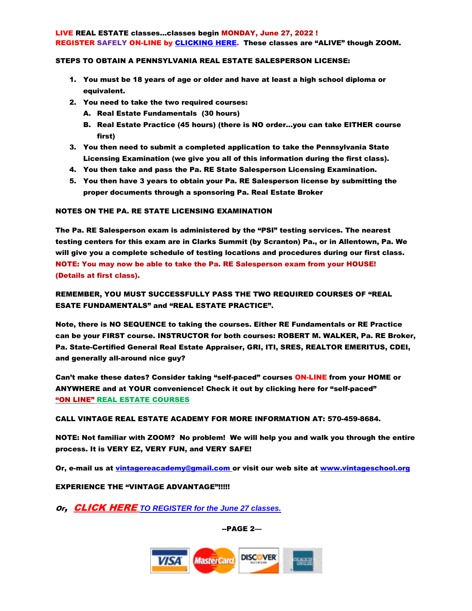#### LIVE REAL ESTATE classes…classes begin MONDAY, June 27, 2022 ! REGISTER SAFELY ON-LINE by [CLICKING HERE.](https://www.mcssl.com/store/vintagerealestateacademy/01-real-estate-fundamentals-live-virtual-class-through-zoom-monday-and-wednesday-nights) These classes are "ALIVE" though ZOOM.

### STEPS TO OBTAIN A PENNSYLVANIA REAL ESTATE SALESPERSON LICENSE:

- 1. You must be 18 years of age or older and have at least a high school diploma or equivalent.
- 2. You need to take the two required courses:
	- A. Real Estate Fundamentals (30 hours)
	- B. Real Estate Practice (45 hours) (there is NO order…you can take EITHER course first)
- 3. You then need to submit a completed application to take the Pennsylvania State Licensing Examination (we give you all of this information during the first class).
- 4. You then take and pass the Pa. RE State Salesperson Licensing Examination.
- 5. You then have 3 years to obtain your Pa. RE Salesperson license by submitting the proper documents through a sponsoring Pa. Real Estate Broker

## NOTES ON THE PA. RE STATE LICENSING EXAMINATION

The Pa. RE Salesperson exam is administered by the "PSI" testing services. The nearest testing centers for this exam are in Clarks Summit (by Scranton) Pa., or in Allentown, Pa. We will give you a complete schedule of testing locations and procedures during our first class. NOTE: You may now be able to take the Pa. RE Salesperson exam from your HOUSE! (Details at first class).

REMEMBER, YOU MUST SUCCESSFULLY PASS THE TWO REQUIRED COURSES OF "REAL ESATE FUNDAMENTALS" and "REAL ESTATE PRACTICE".

Note, there is NO SEQUENCE to taking the courses. Either RE Fundamentals or RE Practice can be your FIRST course. INSTRUCTOR for both courses: ROBERT M. WALKER, Pa. RE Broker, Pa. State-Certified General Real Estate Appraiser, GRI, ITI, SRES, REALTOR EMERITUS, CDEI, and generally all-around nice guy?

Can't make these dates? Consider taking "self-paced" courses ON-LINE from your HOME or ANYWHERE and at YOUR convenience! Check it out by clicking here for "self-paced" "ON LINE" REAL [ESTATE COURSES](https://www.vintagereacademy.com/files/132269139.pdf)

CALL VINTAGE REAL ESTATE ACADEMY FOR MORE INFORMATION AT: 570-459-8684.

NOTE: Not familiar with ZOOM? No problem! We will help you and walk you through the entire process. It is VERY EZ, VERY FUN, and VERY SAFE!

Or, e-mail us at [vintagereacademy@gmail.com](mailto:vintagereacademy@gmail.com) or visit our web site at [www.vintageschool.org](http://www.vintageschool.org/)

## EXPERIENCE THE "VINTAGE ADVANTAGE"!!!!!

Or, [CLICK HERE](https://www.mcssl.com/store/vintagerealestateacademy/01-real-estate-fundamentals-live-virtual-class-through-zoom-monday-and-wednesday-nights) *TO REGISTER for the June 27 classes[.](https://www.mcssl.com/store/vintagerealestateacademy/01-real-estate-fundamentals-live-virtual-class-through-zoom-monday-and-wednesday-nights)*

--PAGE 2—

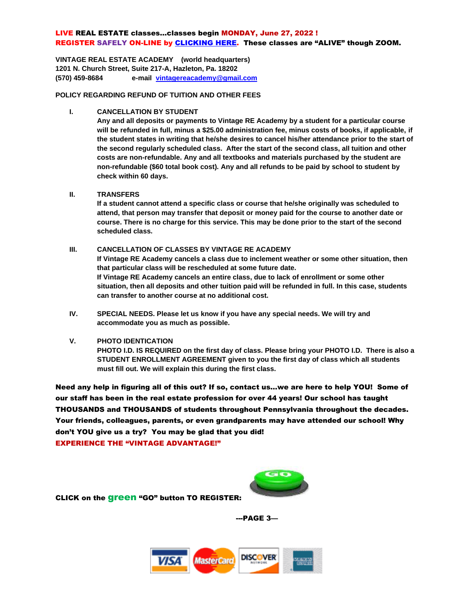# LIVE REAL ESTATE classes…classes begin MONDAY, June 27, 2022 ! REGISTER SAFELY ON-LINE by [CLICKING HERE.](https://www.mcssl.com/store/vintagerealestateacademy/01-real-estate-fundamentals-live-virtual-class-through-zoom-monday-and-wednesday-nights) These classes are "ALIVE" though ZOOM.

**VINTAGE REAL ESTATE ACADEMY (world headquarters) 1201 N. Church Street, Suite 217-A, Hazleton, Pa. 18202 (570) 459-8684 e-mail [vintagereacademy@gmail.com](mailto:vintageschool@verizon.net)**

**POLICY REGARDING REFUND OF TUITION AND OTHER FEES**

#### **I. CANCELLATION BY STUDENT**

**Any and all deposits or payments to Vintage RE Academy by a student for a particular course will be refunded in full, minus a \$25.00 administration fee, minus costs of books, if applicable, if the student states in writing that he/she desires to cancel his/her attendance prior to the start of the second regularly scheduled class. After the start of the second class, all tuition and other costs are non-refundable. Any and all textbooks and materials purchased by the student are non-refundable (\$60 total book cost). Any and all refunds to be paid by school to student by check within 60 days.** 

#### **II. TRANSFERS**

**If a student cannot attend a specific class or course that he/she originally was scheduled to attend, that person may transfer that deposit or money paid for the course to another date or course. There is no charge for this service. This may be done prior to the start of the second scheduled class.** 

# **III. CANCELLATION OF CLASSES BY VINTAGE RE ACADEMY**

**If Vintage RE Academy cancels a class due to inclement weather or some other situation, then that particular class will be rescheduled at some future date. If Vintage RE Academy cancels an entire class, due to lack of enrollment or some other situation, then all deposits and other tuition paid will be refunded in full. In this case, students can transfer to another course at no additional cost.**

**IV. SPECIAL NEEDS. Please let us know if you have any special needs. We will try and accommodate you as much as possible.**

#### **V. PHOTO IDENTICATION**

**PHOTO I.D. IS REQUIRED on the first day of class. Please bring your PHOTO I.D. There is also a STUDENT ENROLLMENT AGREEMENT given to you the first day of class which all students must fill out. We will explain this during the first class.** 

Need any help in figuring all of this out? If so, contact us…we are here to help YOU! Some of our staff has been in the real estate profession for over 44 years! Our school has taught THOUSANDS and THOUSANDS of students throughout Pennsylvania throughout the decades. Your friends, colleagues, parents, or even grandparents may have attended our school! Why don't YOU give us a try? You may be glad that you did! EXPERIENCE THE "VINTAGE ADVANTAGE!"



CLICK on the green "GO" button TO REGISTER:

---PAGE 3—